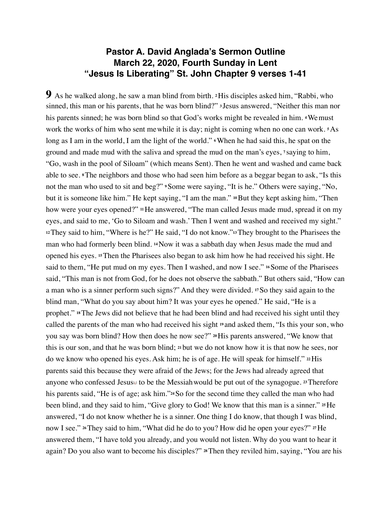# **Pastor A. David Anglada's Sermon Outline March 22, 2020, Fourth Sunday in Lent "Jesus Is Liberating" St. John Chapter 9 verses 1-41**

**9** As he walked along, he saw a man blind from birth. **2**His disciples asked him, "Rabbi, who sinned, this man or his parents, that he was born blind?" **<sup>3</sup>** Jesus answered, "Neither this man nor his parents sinned; he was born blind so that God's works might be revealed in him. **4**Wemust work the works of him who sent mewhile it is day; night is coming when no one can work. **5**As long as I am in the world, I am the light of the world." **6**When he had said this, he spat on the ground and made mud with the saliva and spread the mud on the man's eyes, **<sup>7</sup>** saying to him, "Go, wash in the pool of Siloam" (which means Sent). Then he went and washed and came back able to see. **8**The neighbors and those who had seen him before as a beggar began to ask, "Is this not the man who used to sit and beg?" **9**Some were saying, "It is he." Others were saying, "No, but it is someone like him." He kept saying, "I am the man." **10**But they kept asking him, "Then how were your eyes opened?" **11**He answered, "The man called Jesus made mud, spread it on my eyes, and said to me, 'Go to Siloam and wash.' Then I went and washed and received my sight." **<sup>12</sup>**They said to him, "Where is he?" He said, "I do not know."**13**They brought to the Pharisees the man who had formerly been blind. **14**Now it was a sabbath day when Jesus made the mud and opened his eyes. **15**Then the Pharisees also began to ask him how he had received his sight. He said to them, "He put mud on my eyes. Then I washed, and now I see." <sup>16</sup>Some of the Pharisees said, "This man is not from God, for he does not observe the sabbath." But others said, "How can a man who is a sinner perform such signs?" And they were divided. **17**So they said again to the blind man, "What do you say about him? It was your eyes he opened." He said, "He is a prophet." **18**The Jews did not believe that he had been blind and had received his sight until they called the parents of the man who had received his sight **<sup>19</sup>** and asked them, "Is this your son, who you say was born blind? How then does he now see?" **20**His parents answered, "We know that this is our son, and that he was born blind; **<sup>21</sup>** but we do not know how it is that now he sees, nor do we know who opened his eyes. Ask him; he is of age. He will speak for himself." **22**His parents said this because they were afraid of the Jews; for the Jews had already agreed that anyone who confessed Jesus[[c\]](https://www.biblegateway.com/passage/?search=John+9&version=NRSV%22%20%5Cl%20%22fen-NRSV-26452c%22%20%5Co%20%22See%20footnote%20c) to be the Messiahwould be put out of the synagogue. **23**Therefore his parents said, "He is of age; ask him."**24**So for the second time they called the man who had been blind, and they said to him, "Give glory to God! We know that this man is a sinner." **25**He answered, "I do not know whether he is a sinner. One thing I do know, that though I was blind, now I see." **26**They said to him, "What did he do to you? How did he open your eyes?" **27**He answered them, "I have told you already, and you would not listen. Why do you want to hear it again? Do you also want to become his disciples?" **28**Then they reviled him, saying, "You are his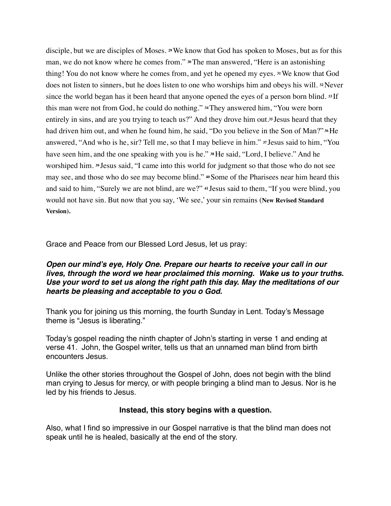disciple, but we are disciples of Moses. **29**We know that God has spoken to Moses, but as for this man, we do not know where he comes from." **30**The man answered, "Here is an astonishing thing! You do not know where he comes from, and yet he opened my eyes. **31**We know that God does not listen to sinners, but he does listen to one who worships him and obeys his will. **32**Never since the world began has it been heard that anyone opened the eyes of a person born blind. **<sup>33</sup>** If this man were not from God, he could do nothing." **34**They answered him, "You were born entirely in sins, and are you trying to teach us?" And they drove him out.**<sup>35</sup>** Jesus heard that they had driven him out, and when he found him, he said, "Do you believe in the Son of Man?" **36**He answered, "And who is he, sir? Tell me, so that I may believe in him." **<sup>37</sup>** Jesus said to him, "You have seen him, and the one speaking with you is he." **38**He said, "Lord, I believe." And he worshiped him. **<sup>39</sup>** Jesus said, "I came into this world for judgment so that those who do not see may see, and those who do see may become blind." **40**Some of the Pharisees near him heard this and said to him, "Surely we are not blind, are we?" **<sup>41</sup>** Jesus said to them, "If you were blind, you would not have sin. But now that you say, 'We see,' your sin remains (**New Revised Standard Version).**

Grace and Peace from our Blessed Lord Jesus, let us pray:

## *Open our mind's eye, Holy One. Prepare our hearts to receive your call in our lives, through the word we hear proclaimed this morning. Wake us to your truths. Use your word to set us along the right path this day. May the meditations of our hearts be pleasing and acceptable to you o God.*

Thank you for joining us this morning, the fourth Sunday in Lent. Today's Message theme is "Jesus is liberating."

Today's gospel reading the ninth chapter of John's starting in verse 1 and ending at verse 41. John, the Gospel writer, tells us that an unnamed man blind from birth encounters Jesus.

Unlike the other stories throughout the Gospel of John, does not begin with the blind man crying to Jesus for mercy, or with people bringing a blind man to Jesus. Nor is he led by his friends to Jesus.

## **Instead, this story begins with a question.**

Also, what I find so impressive in our Gospel narrative is that the blind man does not speak until he is healed, basically at the end of the story.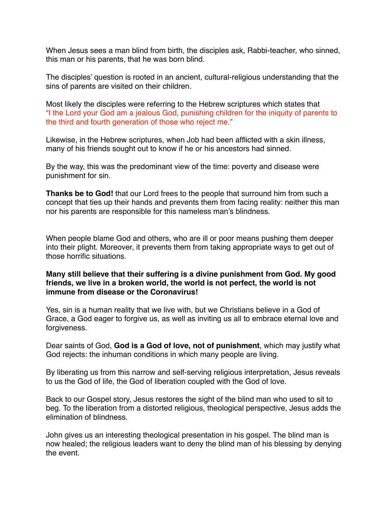When Jesus sees a man blind from birth, the disciples ask, Rabbi-teacher, who sinned, this man or his parents, that he was born blind.

The disciples' question is rooted in an ancient, cultural-religious understanding that the sins of parents are visited on their children.

Most likely the disciples were referring to the Hebrew scriptures which states that "I the Lord your God am a jealous God, punishing children for the iniquity of parents to the third and fourth generation of those who reject me."

Likewise, in the Hebrew scriptures, when Job had been afflicted with a skin illness, many of his friends sought out to know if he or his ancestors had sinned.

By the way, this was the predominant view of the time: poverty and disease were punishment for sin.

**Thanks be to God!** that our Lord frees to the people that surround him from such a concept that ties up their hands and prevents them from facing reality: neither this man nor his parents are responsible for this nameless man's blindness.

When people blame God and others, who are ill or poor means pushing them deeper into their plight. Moreover, it prevents them from taking appropriate ways to get out of those horrific situations.

## **Many still believe that their suffering is a divine punishment from God. My good friends, we live in a broken world, the world is not perfect, the world is not immune from disease or the Coronavirus!**

Yes, sin is a human reality that we live with, but we Christians believe in a God of Grace, a God eager to forgive us, as well as inviting us all to embrace eternal love and forgiveness.

Dear saints of God, **God is a God of love, not of punishment**, which may justify what God rejects: the inhuman conditions in which many people are living.

By liberating us from this narrow and self-serving religious interpretation, Jesus reveals to us the God of life, the God of liberation coupled with the God of love.

Back to our Gospel story, Jesus restores the sight of the blind man who used to sit to beg. To the liberation from a distorted religious, theological perspective, Jesus adds the elimination of blindness.

John gives us an interesting theological presentation in his gospel. The blind man is now healed; the religious leaders want to deny the blind man of his blessing by denying the event.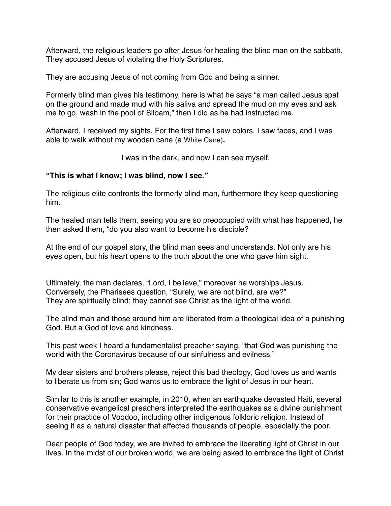Afterward, the religious leaders go after Jesus for healing the blind man on the sabbath. They accused Jesus of violating the Holy Scriptures.

They are accusing Jesus of not coming from God and being a sinner.

Formerly blind man gives his testimony, here is what he says "a man called Jesus spat on the ground and made mud with his saliva and spread the mud on my eyes and ask me to go, wash in the pool of Siloam," then I did as he had instructed me.

Afterward, I received my sights. For the first time I saw colors, I saw faces, and I was able to walk without my wooden cane (a White Cane)**.** 

I was in the dark, and now I can see myself.

#### **"This is what I know; I was blind, now I see."**

The religious elite confronts the formerly blind man, furthermore they keep questioning him.

The healed man tells them, seeing you are so preoccupied with what has happened, he then asked them, "do you also want to become his disciple?

At the end of our gospel story, the blind man sees and understands. Not only are his eyes open, but his heart opens to the truth about the one who gave him sight.

Ultimately, the man declares, "Lord, I believe," moreover he worships Jesus. Conversely, the Pharisees question, "Surely, we are not blind, are we?" They are spiritually blind; they cannot see Christ as the light of the world.

The blind man and those around him are liberated from a theological idea of a punishing God. But a God of love and kindness.

This past week I heard a fundamentalist preacher saying, "that God was punishing the world with the Coronavirus because of our sinfulness and evilness."

My dear sisters and brothers please, reject this bad theology, God loves us and wants to liberate us from sin; God wants us to embrace the light of Jesus in our heart.

Similar to this is another example, in 2010, when an earthquake devasted Haiti, several conservative evangelical preachers interpreted the earthquakes as a divine punishment for their practice of Voodoo, including other indigenous folkloric religion. Instead of seeing it as a natural disaster that affected thousands of people, especially the poor.

Dear people of God today, we are invited to embrace the liberating light of Christ in our lives. In the midst of our broken world, we are being asked to embrace the light of Christ